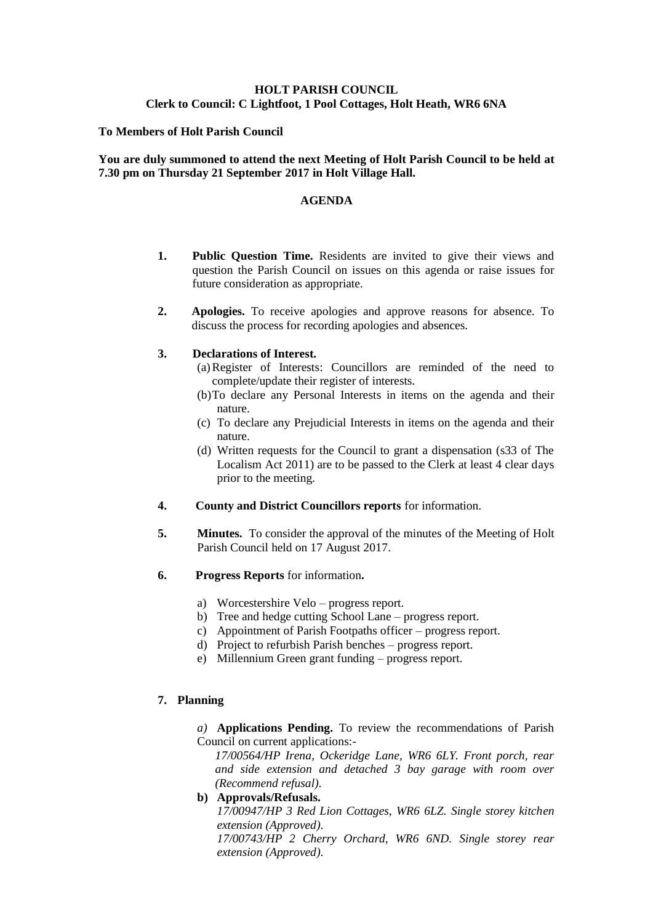## **HOLT PARISH COUNCIL Clerk to Council: C Lightfoot, 1 Pool Cottages, Holt Heath, WR6 6NA**

### **To Members of Holt Parish Council**

## **You are duly summoned to attend the next Meeting of Holt Parish Council to be held at 7.30 pm on Thursday 21 September 2017 in Holt Village Hall.**

### **AGENDA**

- **1. Public Question Time.** Residents are invited to give their views and question the Parish Council on issues on this agenda or raise issues for future consideration as appropriate.
- **2. Apologies.** To receive apologies and approve reasons for absence. To discuss the process for recording apologies and absences.

### **3. Declarations of Interest.**

- (a)Register of Interests: Councillors are reminded of the need to complete/update their register of interests.
- (b)To declare any Personal Interests in items on the agenda and their nature.
- (c) To declare any Prejudicial Interests in items on the agenda and their nature.
- (d) Written requests for the Council to grant a dispensation (s33 of The Localism Act 2011) are to be passed to the Clerk at least 4 clear days prior to the meeting.
- **4. County and District Councillors reports** for information.
- **5. Minutes.** To consider the approval of the minutes of the Meeting of Holt Parish Council held on 17 August 2017.
- **6. Progress Reports** for information**.**
	- a) Worcestershire Velo progress report.
	- b) Tree and hedge cutting School Lane progress report.
	- c) Appointment of Parish Footpaths officer progress report.
	- d) Project to refurbish Parish benches progress report.
	- e) Millennium Green grant funding progress report.

## **7. Planning**

*a)* **Applications Pending.** To review the recommendations of Parish Council on current applications:-

*17/00564/HP Irena, Ockeridge Lane, WR6 6LY. Front porch, rear and side extension and detached 3 bay garage with room over (Recommend refusal).*

## **b) Approvals/Refusals.**

*17/00947/HP 3 Red Lion Cottages, WR6 6LZ. Single storey kitchen extension (Approved).*

*17/00743/HP 2 Cherry Orchard, WR6 6ND. Single storey rear extension (Approved).*